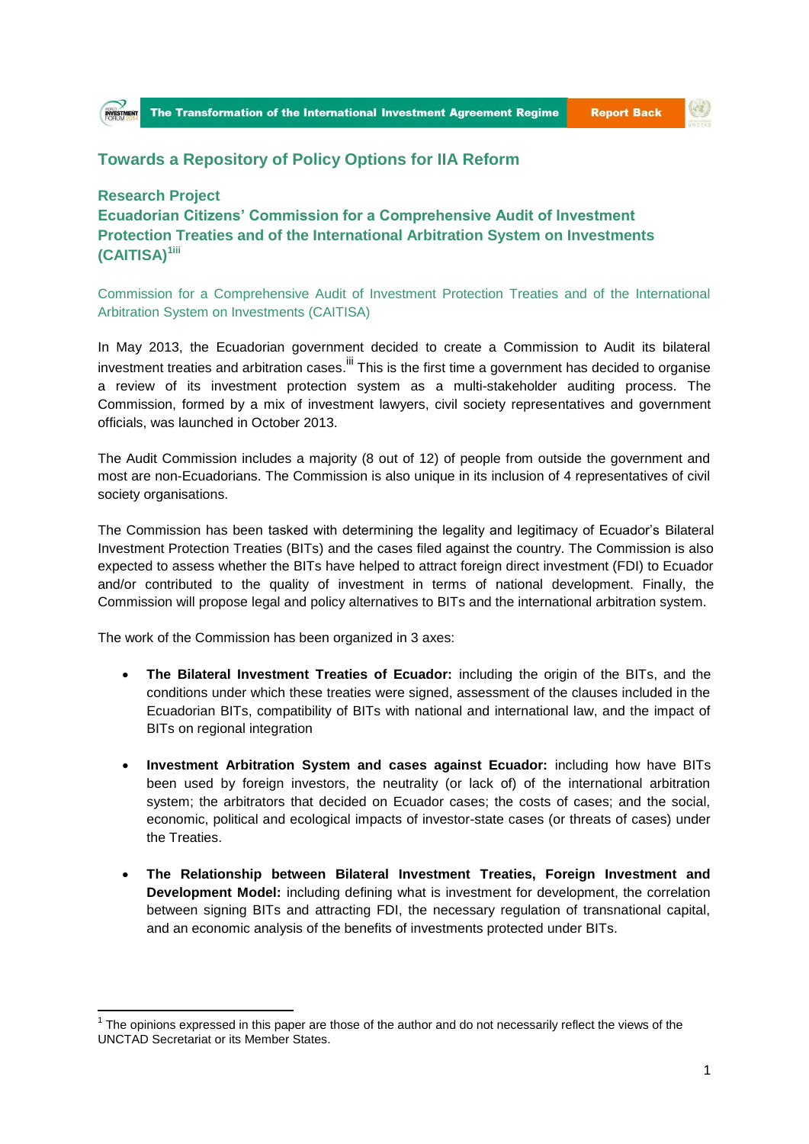## (O)

## **Towards a Repository of Policy Options for IIA Reform**

## **Research Project**

**.** 

**Ecuadorian Citizens' Commission for a Comprehensive Audit of Investment Protection Treaties and of the International Arbitration System on Investments (CAITISA)1iii**

Commission for a Comprehensive Audit of Investment Protection Treaties and of the International Arbitration System on Investments (CAITISA)

In May 2013, the Ecuadorian government decided to create a Commission to Audit its bilateral investment treaties and arbitration cases. III This is the first time a government has decided to organise a review of its investment protection system as a multi-stakeholder auditing process. The Commission, formed by a mix of investment lawyers, civil society representatives and government officials, was launched in October 2013.

The Audit Commission includes a majority (8 out of 12) of people from outside the government and most are non-Ecuadorians. The Commission is also unique in its inclusion of 4 representatives of civil society organisations.

The Commission has been tasked with determining the legality and legitimacy of Ecuador's Bilateral Investment Protection Treaties (BITs) and the cases filed against the country. The Commission is also expected to assess whether the BITs have helped to attract foreign direct investment (FDI) to Ecuador and/or contributed to the quality of investment in terms of national development. Finally, the Commission will propose legal and policy alternatives to BITs and the international arbitration system.

The work of the Commission has been organized in 3 axes:

- **The Bilateral Investment Treaties of Ecuador:** including the origin of the BITs, and the conditions under which these treaties were signed, assessment of the clauses included in the Ecuadorian BITs, compatibility of BITs with national and international law, and the impact of BITs on regional integration
- **Investment Arbitration System and cases against Ecuador:** including how have BITs been used by foreign investors, the neutrality (or lack of) of the international arbitration system; the arbitrators that decided on Ecuador cases; the costs of cases; and the social, economic, political and ecological impacts of investor-state cases (or threats of cases) under the Treaties.
- **The Relationship between Bilateral Investment Treaties, Foreign Investment and Development Model:** including defining what is investment for development, the correlation between signing BITs and attracting FDI, the necessary regulation of transnational capital, and an economic analysis of the benefits of investments protected under BITs.

 $1$  The opinions expressed in this paper are those of the author and do not necessarily reflect the views of the UNCTAD Secretariat or its Member States.